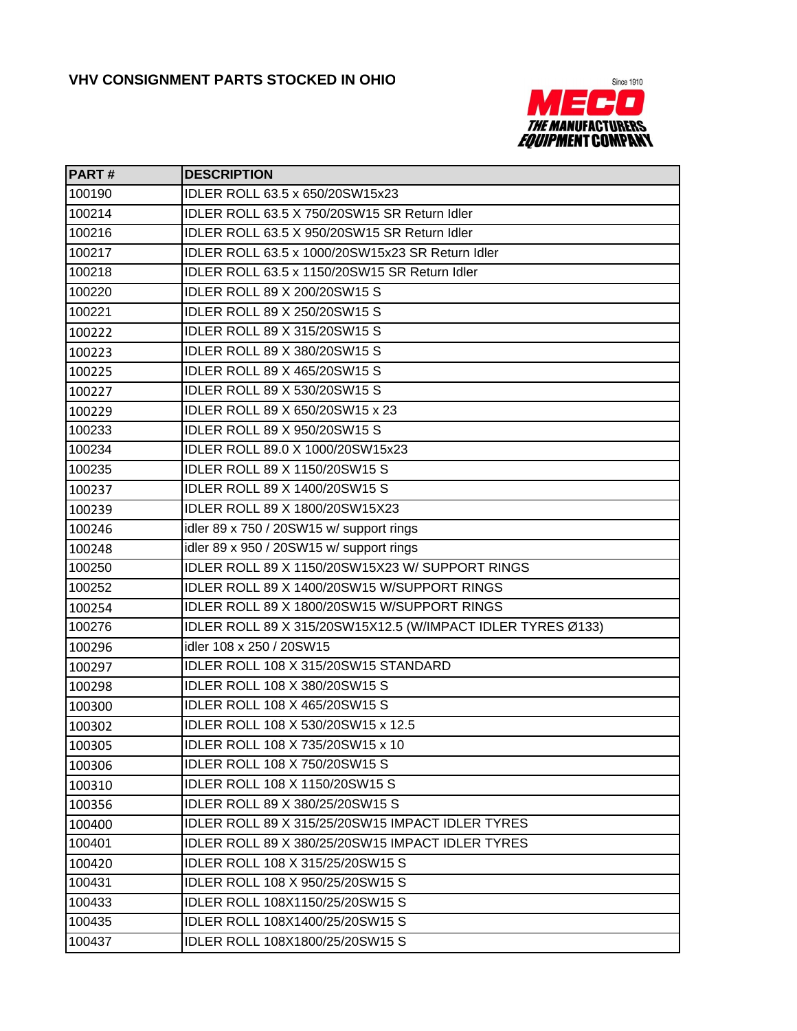

| <b>PART#</b> | <b>DESCRIPTION</b>                                          |
|--------------|-------------------------------------------------------------|
| 100190       | IDLER ROLL 63.5 x 650/20SW15x23                             |
| 100214       | IDLER ROLL 63.5 X 750/20SW15 SR Return Idler                |
| 100216       | IDLER ROLL 63.5 X 950/20SW15 SR Return Idler                |
| 100217       | IDLER ROLL 63.5 x 1000/20SW15x23 SR Return Idler            |
| 100218       | IDLER ROLL 63.5 x 1150/20SW15 SR Return Idler               |
| 100220       | IDLER ROLL 89 X 200/20SW15 S                                |
| 100221       | IDLER ROLL 89 X 250/20SW15 S                                |
| 100222       | IDLER ROLL 89 X 315/20SW15 S                                |
| 100223       | IDLER ROLL 89 X 380/20SW15 S                                |
| 100225       | <b>IDLER ROLL 89 X 465/20SW15 S</b>                         |
| 100227       | IDLER ROLL 89 X 530/20SW15 S                                |
| 100229       | IDLER ROLL 89 X 650/20SW15 x 23                             |
| 100233       | <b>IDLER ROLL 89 X 950/20SW15 S</b>                         |
| 100234       | IDLER ROLL 89.0 X 1000/20SW15x23                            |
| 100235       | IDLER ROLL 89 X 1150/20SW15 S                               |
| 100237       | IDLER ROLL 89 X 1400/20SW15 S                               |
| 100239       | IDLER ROLL 89 X 1800/20SW15X23                              |
| 100246       | idler 89 x 750 / 20SW15 w/ support rings                    |
| 100248       | idler 89 x 950 / 20SW15 w/ support rings                    |
| 100250       | IDLER ROLL 89 X 1150/20SW15X23 W/ SUPPORT RINGS             |
| 100252       | IDLER ROLL 89 X 1400/20SW15 W/SUPPORT RINGS                 |
| 100254       | IDLER ROLL 89 X 1800/20SW15 W/SUPPORT RINGS                 |
| 100276       | IDLER ROLL 89 X 315/20SW15X12.5 (W/IMPACT IDLER TYRES Ø133) |
| 100296       | idler 108 x 250 / 20SW15                                    |
| 100297       | IDLER ROLL 108 X 315/20SW15 STANDARD                        |
| 100298       | <b>IDLER ROLL 108 X 380/20SW15 S</b>                        |
| 100300       | IDLER ROLL 108 X 465/20SW15 S                               |
| 100302       | IDLER ROLL 108 X 530/20SW15 x 12.5                          |
| 100305       | IDLER ROLL 108 X 735/20SW15 x 10                            |
| 100306       | <b>IDLER ROLL 108 X 750/20SW15 S</b>                        |
| 100310       | IDLER ROLL 108 X 1150/20SW15 S                              |
| 100356       | IDLER ROLL 89 X 380/25/20SW15 S                             |
| 100400       | IDLER ROLL 89 X 315/25/20SW15 IMPACT IDLER TYRES            |
| 100401       | IDLER ROLL 89 X 380/25/20SW15 IMPACT IDLER TYRES            |
| 100420       | IDLER ROLL 108 X 315/25/20SW15 S                            |
| 100431       | IDLER ROLL 108 X 950/25/20SW15 S                            |
| 100433       | IDLER ROLL 108X1150/25/20SW15 S                             |
| 100435       | IDLER ROLL 108X1400/25/20SW15 S                             |
| 100437       | IDLER ROLL 108X1800/25/20SW15 S                             |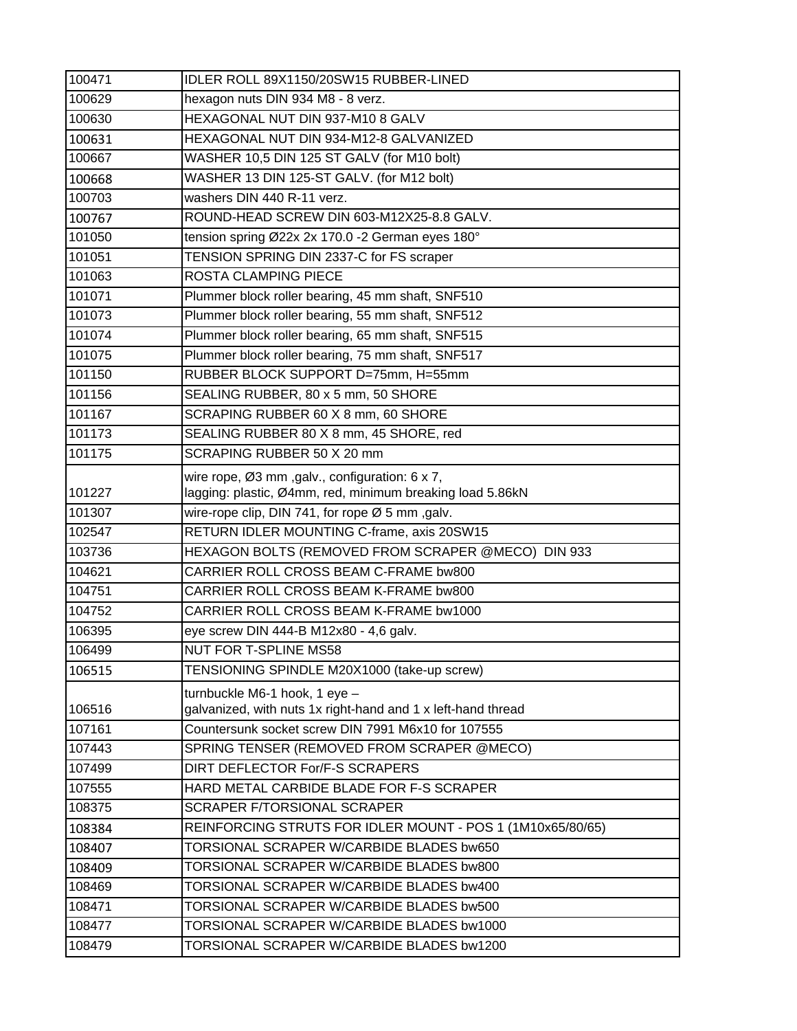| 100471 | IDLER ROLL 89X1150/20SW15 RUBBER-LINED                       |
|--------|--------------------------------------------------------------|
| 100629 | hexagon nuts DIN 934 M8 - 8 verz.                            |
| 100630 | HEXAGONAL NUT DIN 937-M10 8 GALV                             |
| 100631 | HEXAGONAL NUT DIN 934-M12-8 GALVANIZED                       |
| 100667 | WASHER 10,5 DIN 125 ST GALV (for M10 bolt)                   |
| 100668 | WASHER 13 DIN 125-ST GALV. (for M12 bolt)                    |
| 100703 | washers DIN 440 R-11 verz.                                   |
| 100767 | ROUND-HEAD SCREW DIN 603-M12X25-8.8 GALV.                    |
| 101050 | tension spring Ø22x 2x 170.0 -2 German eyes 180°             |
| 101051 | TENSION SPRING DIN 2337-C for FS scraper                     |
| 101063 | ROSTA CLAMPING PIECE                                         |
| 101071 | Plummer block roller bearing, 45 mm shaft, SNF510            |
| 101073 | Plummer block roller bearing, 55 mm shaft, SNF512            |
| 101074 | Plummer block roller bearing, 65 mm shaft, SNF515            |
| 101075 | Plummer block roller bearing, 75 mm shaft, SNF517            |
| 101150 | RUBBER BLOCK SUPPORT D=75mm, H=55mm                          |
| 101156 | SEALING RUBBER, 80 x 5 mm, 50 SHORE                          |
| 101167 | SCRAPING RUBBER 60 X 8 mm, 60 SHORE                          |
| 101173 | SEALING RUBBER 80 X 8 mm, 45 SHORE, red                      |
| 101175 | SCRAPING RUBBER 50 X 20 mm                                   |
|        | wire rope, Ø3 mm , galv., configuration: 6 x 7,              |
| 101227 | lagging: plastic, Ø4mm, red, minimum breaking load 5.86kN    |
| 101307 | wire-rope clip, DIN 741, for rope Ø 5 mm, galv.              |
| 102547 | RETURN IDLER MOUNTING C-frame, axis 20SW15                   |
| 103736 | HEXAGON BOLTS (REMOVED FROM SCRAPER @MECO) DIN 933           |
| 104621 | CARRIER ROLL CROSS BEAM C-FRAME bw800                        |
| 104751 | CARRIER ROLL CROSS BEAM K-FRAME bw800                        |
| 104752 | CARRIER ROLL CROSS BEAM K-FRAME bw1000                       |
| 106395 | eye screw DIN 444-B M12x80 - 4,6 galv.                       |
| 106499 | <b>NUT FOR T-SPLINE MS58</b>                                 |
| 106515 | TENSIONING SPINDLE M20X1000 (take-up screw)                  |
|        | turnbuckle M6-1 hook, 1 eye -                                |
| 106516 | galvanized, with nuts 1x right-hand and 1 x left-hand thread |
| 107161 | Countersunk socket screw DIN 7991 M6x10 for 107555           |
| 107443 | SPRING TENSER (REMOVED FROM SCRAPER @MECO)                   |
| 107499 | DIRT DEFLECTOR For/F-S SCRAPERS                              |
| 107555 | HARD METAL CARBIDE BLADE FOR F-S SCRAPER                     |
| 108375 | SCRAPER F/TORSIONAL SCRAPER                                  |
| 108384 | REINFORCING STRUTS FOR IDLER MOUNT - POS 1 (1M10x65/80/65)   |
| 108407 | TORSIONAL SCRAPER W/CARBIDE BLADES bw650                     |
| 108409 | TORSIONAL SCRAPER W/CARBIDE BLADES bw800                     |
| 108469 | TORSIONAL SCRAPER W/CARBIDE BLADES bw400                     |
| 108471 | TORSIONAL SCRAPER W/CARBIDE BLADES bw500                     |
| 108477 | TORSIONAL SCRAPER W/CARBIDE BLADES bw1000                    |
| 108479 | TORSIONAL SCRAPER W/CARBIDE BLADES bw1200                    |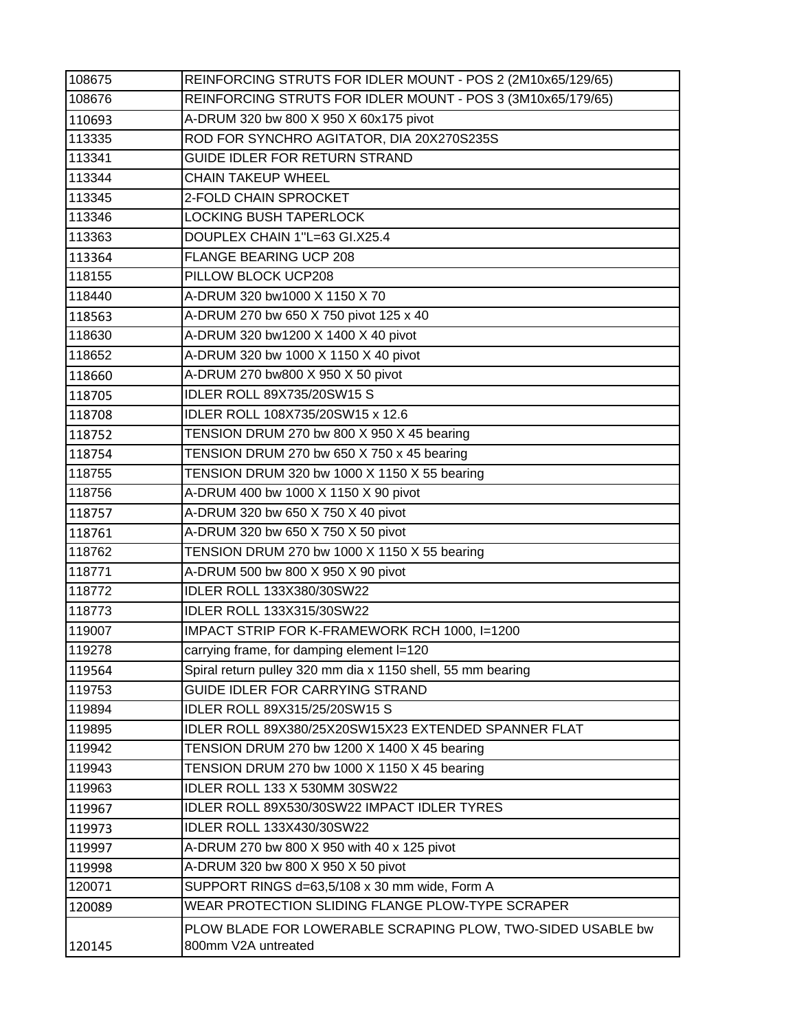| 108675 | REINFORCING STRUTS FOR IDLER MOUNT - POS 2 (2M10x65/129/65) |
|--------|-------------------------------------------------------------|
| 108676 | REINFORCING STRUTS FOR IDLER MOUNT - POS 3 (3M10x65/179/65) |
| 110693 | A-DRUM 320 bw 800 X 950 X 60x175 pivot                      |
| 113335 | ROD FOR SYNCHRO AGITATOR, DIA 20X270S235S                   |
| 113341 | GUIDE IDLER FOR RETURN STRAND                               |
| 113344 | <b>CHAIN TAKEUP WHEEL</b>                                   |
| 113345 | 2-FOLD CHAIN SPROCKET                                       |
| 113346 | <b>LOCKING BUSH TAPERLOCK</b>                               |
| 113363 | DOUPLEX CHAIN 1"L=63 GI.X25.4                               |
| 113364 | <b>FLANGE BEARING UCP 208</b>                               |
| 118155 | PILLOW BLOCK UCP208                                         |
| 118440 | A-DRUM 320 bw1000 X 1150 X 70                               |
| 118563 | A-DRUM 270 bw 650 X 750 pivot 125 x 40                      |
| 118630 | A-DRUM 320 bw1200 X 1400 X 40 pivot                         |
| 118652 | A-DRUM 320 bw 1000 X 1150 X 40 pivot                        |
| 118660 | A-DRUM 270 bw800 X 950 X 50 pivot                           |
| 118705 | <b>IDLER ROLL 89X735/20SW15 S</b>                           |
| 118708 | IDLER ROLL 108X735/20SW15 x 12.6                            |
| 118752 | TENSION DRUM 270 bw 800 X 950 X 45 bearing                  |
| 118754 | TENSION DRUM 270 bw 650 X 750 x 45 bearing                  |
| 118755 | TENSION DRUM 320 bw 1000 X 1150 X 55 bearing                |
| 118756 | A-DRUM 400 bw 1000 X 1150 X 90 pivot                        |
| 118757 | A-DRUM 320 bw 650 X 750 X 40 pivot                          |
| 118761 | A-DRUM 320 bw 650 X 750 X 50 pivot                          |
| 118762 | TENSION DRUM 270 bw 1000 X 1150 X 55 bearing                |
| 118771 | A-DRUM 500 bw 800 X 950 X 90 pivot                          |
| 118772 | <b>IDLER ROLL 133X380/30SW22</b>                            |
| 118773 | IDLER ROLL 133X315/30SW22                                   |
| 119007 | IMPACT STRIP FOR K-FRAMEWORK RCH 1000, I=1200               |
| 119278 | carrying frame, for damping element I=120                   |
| 119564 | Spiral return pulley 320 mm dia x 1150 shell, 55 mm bearing |
| 119753 | GUIDE IDLER FOR CARRYING STRAND                             |
| 119894 | IDLER ROLL 89X315/25/20SW15 S                               |
| 119895 | IDLER ROLL 89X380/25X20SW15X23 EXTENDED SPANNER FLAT        |
| 119942 | TENSION DRUM 270 bw 1200 X 1400 X 45 bearing                |
| 119943 | TENSION DRUM 270 bw 1000 X 1150 X 45 bearing                |
| 119963 | IDLER ROLL 133 X 530MM 30SW22                               |
| 119967 | IDLER ROLL 89X530/30SW22 IMPACT IDLER TYRES                 |
| 119973 | <b>IDLER ROLL 133X430/30SW22</b>                            |
| 119997 | A-DRUM 270 bw 800 X 950 with 40 x 125 pivot                 |
| 119998 | A-DRUM 320 bw 800 X 950 X 50 pivot                          |
| 120071 | SUPPORT RINGS d=63,5/108 x 30 mm wide, Form A               |
| 120089 | WEAR PROTECTION SLIDING FLANGE PLOW-TYPE SCRAPER            |
|        | PLOW BLADE FOR LOWERABLE SCRAPING PLOW, TWO-SIDED USABLE bw |
| 120145 | 800mm V2A untreated                                         |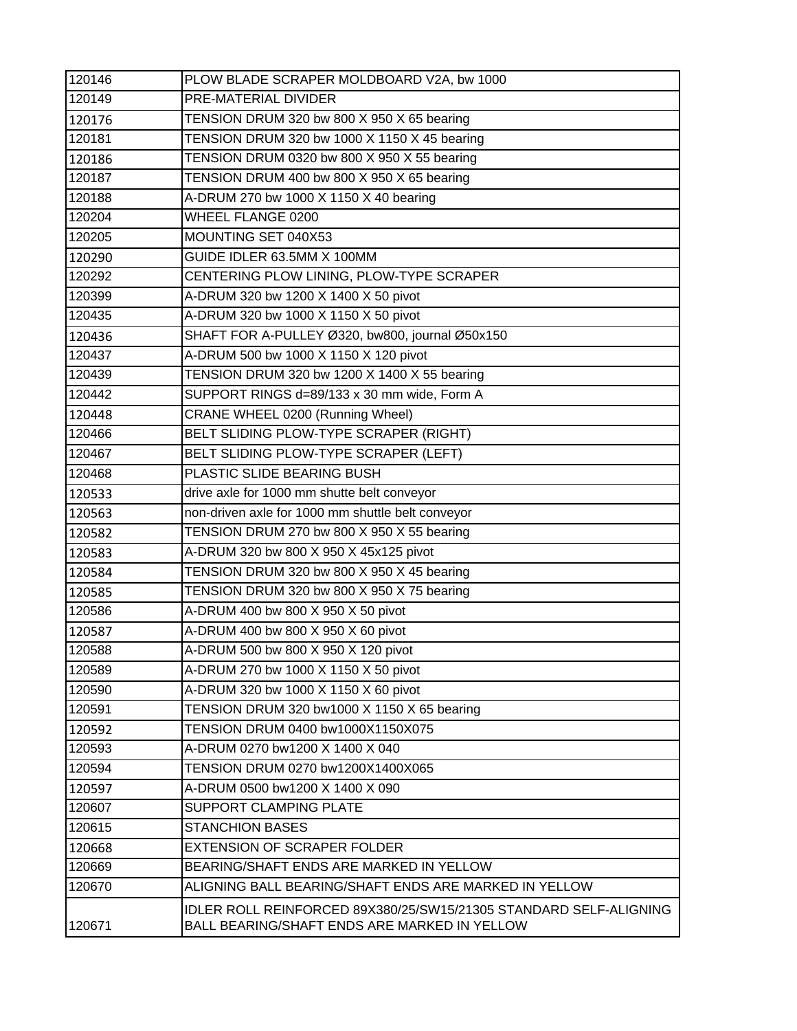| 120146 | PLOW BLADE SCRAPER MOLDBOARD V2A, bw 1000                                                                         |
|--------|-------------------------------------------------------------------------------------------------------------------|
| 120149 | PRE-MATERIAL DIVIDER                                                                                              |
| 120176 | TENSION DRUM 320 bw 800 X 950 X 65 bearing                                                                        |
| 120181 | TENSION DRUM 320 bw 1000 X 1150 X 45 bearing                                                                      |
| 120186 | TENSION DRUM 0320 bw 800 X 950 X 55 bearing                                                                       |
| 120187 | TENSION DRUM 400 bw 800 X 950 X 65 bearing                                                                        |
| 120188 | A-DRUM 270 bw 1000 X 1150 X 40 bearing                                                                            |
| 120204 | WHEEL FLANGE 0200                                                                                                 |
| 120205 | MOUNTING SET 040X53                                                                                               |
| 120290 | GUIDE IDLER 63.5MM X 100MM                                                                                        |
| 120292 | CENTERING PLOW LINING, PLOW-TYPE SCRAPER                                                                          |
| 120399 | A-DRUM 320 bw 1200 X 1400 X 50 pivot                                                                              |
| 120435 | A-DRUM 320 bw 1000 X 1150 X 50 pivot                                                                              |
| 120436 | SHAFT FOR A-PULLEY Ø320, bw800, journal Ø50x150                                                                   |
| 120437 | A-DRUM 500 bw 1000 X 1150 X 120 pivot                                                                             |
| 120439 | TENSION DRUM 320 bw 1200 X 1400 X 55 bearing                                                                      |
| 120442 | SUPPORT RINGS d=89/133 x 30 mm wide, Form A                                                                       |
| 120448 | CRANE WHEEL 0200 (Running Wheel)                                                                                  |
| 120466 | BELT SLIDING PLOW-TYPE SCRAPER (RIGHT)                                                                            |
| 120467 | BELT SLIDING PLOW-TYPE SCRAPER (LEFT)                                                                             |
| 120468 | PLASTIC SLIDE BEARING BUSH                                                                                        |
| 120533 | drive axle for 1000 mm shutte belt conveyor                                                                       |
| 120563 | non-driven axle for 1000 mm shuttle belt conveyor                                                                 |
| 120582 | TENSION DRUM 270 bw 800 X 950 X 55 bearing                                                                        |
| 120583 | A-DRUM 320 bw 800 X 950 X 45x125 pivot                                                                            |
| 120584 | TENSION DRUM 320 bw 800 X 950 X 45 bearing                                                                        |
| 120585 | TENSION DRUM 320 bw 800 X 950 X 75 bearing                                                                        |
| 120586 | A-DRUM 400 bw 800 X 950 X 50 pivot                                                                                |
| 120587 | A-DRUM 400 bw 800 X 950 X 60 pivot                                                                                |
| 120588 | A-DRUM 500 bw 800 X 950 X 120 pivot                                                                               |
| 120589 | A-DRUM 270 bw 1000 X 1150 X 50 pivot                                                                              |
| 120590 | A-DRUM 320 bw 1000 X 1150 X 60 pivot                                                                              |
| 120591 | TENSION DRUM 320 bw1000 X 1150 X 65 bearing                                                                       |
| 120592 | TENSION DRUM 0400 bw1000X1150X075                                                                                 |
| 120593 | A-DRUM 0270 bw1200 X 1400 X 040                                                                                   |
| 120594 | TENSION DRUM 0270 bw1200X1400X065                                                                                 |
| 120597 | A-DRUM 0500 bw1200 X 1400 X 090                                                                                   |
| 120607 | <b>SUPPORT CLAMPING PLATE</b>                                                                                     |
| 120615 | <b>STANCHION BASES</b>                                                                                            |
| 120668 | <b>EXTENSION OF SCRAPER FOLDER</b>                                                                                |
| 120669 | BEARING/SHAFT ENDS ARE MARKED IN YELLOW                                                                           |
| 120670 | ALIGNING BALL BEARING/SHAFT ENDS ARE MARKED IN YELLOW                                                             |
| 120671 | IDLER ROLL REINFORCED 89X380/25/SW15/21305 STANDARD SELF-ALIGNING<br>BALL BEARING/SHAFT ENDS ARE MARKED IN YELLOW |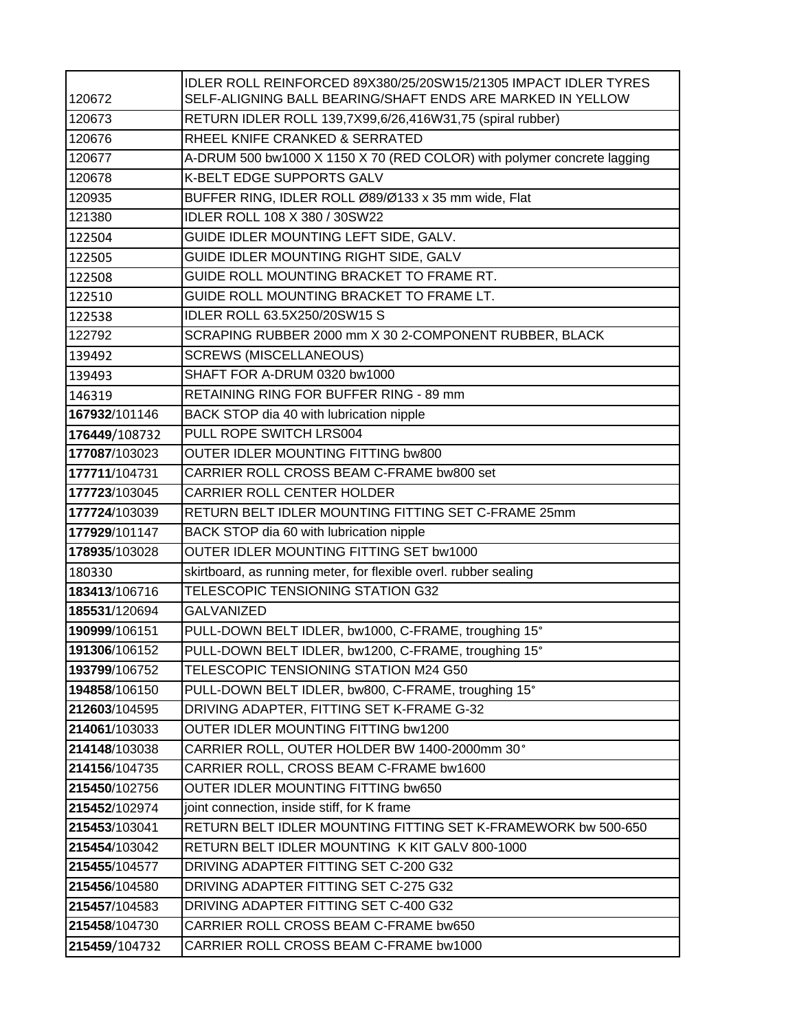| 120672        | IDLER ROLL REINFORCED 89X380/25/20SW15/21305 IMPACT IDLER TYRES<br>SELF-ALIGNING BALL BEARING/SHAFT ENDS ARE MARKED IN YELLOW |
|---------------|-------------------------------------------------------------------------------------------------------------------------------|
| 120673        | RETURN IDLER ROLL 139,7X99,6/26,416W31,75 (spiral rubber)                                                                     |
| 120676        | RHEEL KNIFE CRANKED & SERRATED                                                                                                |
| 120677        | A-DRUM 500 bw1000 X 1150 X 70 (RED COLOR) with polymer concrete lagging                                                       |
| 120678        | K-BELT EDGE SUPPORTS GALV                                                                                                     |
| 120935        | BUFFER RING, IDLER ROLL Ø89/Ø133 x 35 mm wide, Flat                                                                           |
| 121380        | IDLER ROLL 108 X 380 / 30SW22                                                                                                 |
| 122504        | GUIDE IDLER MOUNTING LEFT SIDE, GALV.                                                                                         |
| 122505        | GUIDE IDLER MOUNTING RIGHT SIDE, GALV                                                                                         |
| 122508        | GUIDE ROLL MOUNTING BRACKET TO FRAME RT.                                                                                      |
| 122510        | GUIDE ROLL MOUNTING BRACKET TO FRAME LT.                                                                                      |
| 122538        | IDLER ROLL 63.5X250/20SW15 S                                                                                                  |
| 122792        | SCRAPING RUBBER 2000 mm X 30 2-COMPONENT RUBBER, BLACK                                                                        |
| 139492        | <b>SCREWS (MISCELLANEOUS)</b>                                                                                                 |
| 139493        | SHAFT FOR A-DRUM 0320 bw1000                                                                                                  |
| 146319        | RETAINING RING FOR BUFFER RING - 89 mm                                                                                        |
| 167932/101146 | BACK STOP dia 40 with lubrication nipple                                                                                      |
| 176449/108732 | PULL ROPE SWITCH LRS004                                                                                                       |
| 177087/103023 | <b>OUTER IDLER MOUNTING FITTING bw800</b>                                                                                     |
| 177711/104731 | CARRIER ROLL CROSS BEAM C-FRAME bw800 set                                                                                     |
| 177723/103045 | CARRIER ROLL CENTER HOLDER                                                                                                    |
| 177724/103039 | RETURN BELT IDLER MOUNTING FITTING SET C-FRAME 25mm                                                                           |
| 177929/101147 | BACK STOP dia 60 with lubrication nipple                                                                                      |
| 178935/103028 | OUTER IDLER MOUNTING FITTING SET bw1000                                                                                       |
| 180330        | skirtboard, as running meter, for flexible overl. rubber sealing                                                              |
| 183413/106716 | TELESCOPIC TENSIONING STATION G32                                                                                             |
| 185531/120694 | <b>GALVANIZED</b>                                                                                                             |
| 190999/106151 | PULL-DOWN BELT IDLER, bw1000, C-FRAME, troughing 15°                                                                          |
| 191306/106152 | PULL-DOWN BELT IDLER, bw1200, C-FRAME, troughing 15°                                                                          |
| 193799/106752 | TELESCOPIC TENSIONING STATION M24 G50                                                                                         |
| 194858/106150 | PULL-DOWN BELT IDLER, bw800, C-FRAME, troughing 15°                                                                           |
| 212603/104595 | DRIVING ADAPTER, FITTING SET K-FRAME G-32                                                                                     |
| 214061/103033 | OUTER IDLER MOUNTING FITTING bw1200                                                                                           |
| 214148/103038 | CARRIER ROLL, OUTER HOLDER BW 1400-2000mm 30°                                                                                 |
| 214156/104735 | CARRIER ROLL, CROSS BEAM C-FRAME bw1600                                                                                       |
| 215450/102756 | OUTER IDLER MOUNTING FITTING bw650                                                                                            |
| 215452/102974 | joint connection, inside stiff, for K frame                                                                                   |
| 215453/103041 | RETURN BELT IDLER MOUNTING FITTING SET K-FRAMEWORK bw 500-650                                                                 |
| 215454/103042 | RETURN BELT IDLER MOUNTING K KIT GALV 800-1000                                                                                |
| 215455/104577 | DRIVING ADAPTER FITTING SET C-200 G32                                                                                         |
| 215456/104580 | DRIVING ADAPTER FITTING SET C-275 G32                                                                                         |
| 215457/104583 | DRIVING ADAPTER FITTING SET C-400 G32                                                                                         |
| 215458/104730 | CARRIER ROLL CROSS BEAM C-FRAME bw650                                                                                         |
| 215459/104732 | CARRIER ROLL CROSS BEAM C-FRAME bw1000                                                                                        |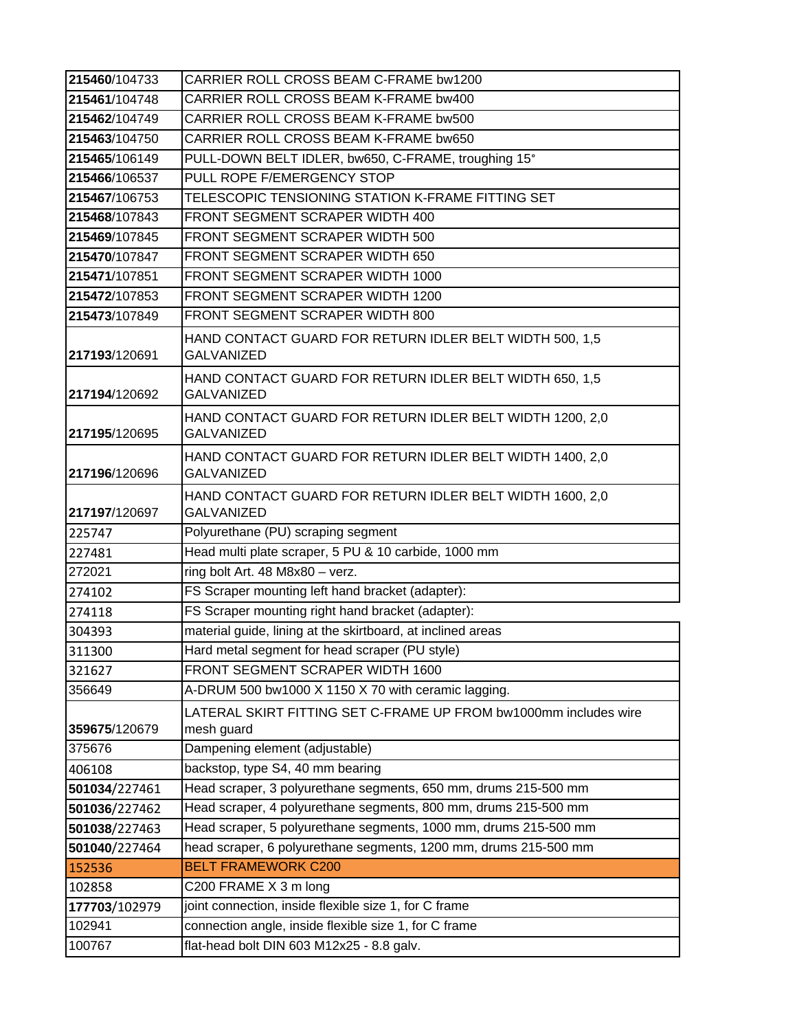| 215460/104733 | CARRIER ROLL CROSS BEAM C-FRAME bw1200                                         |
|---------------|--------------------------------------------------------------------------------|
| 215461/104748 | CARRIER ROLL CROSS BEAM K-FRAME bw400                                          |
| 215462/104749 | CARRIER ROLL CROSS BEAM K-FRAME bw500                                          |
| 215463/104750 | CARRIER ROLL CROSS BEAM K-FRAME bw650                                          |
| 215465/106149 | PULL-DOWN BELT IDLER, bw650, C-FRAME, troughing 15°                            |
| 215466/106537 | PULL ROPE F/EMERGENCY STOP                                                     |
| 215467/106753 | TELESCOPIC TENSIONING STATION K-FRAME FITTING SET                              |
| 215468/107843 | FRONT SEGMENT SCRAPER WIDTH 400                                                |
| 215469/107845 | FRONT SEGMENT SCRAPER WIDTH 500                                                |
| 215470/107847 | FRONT SEGMENT SCRAPER WIDTH 650                                                |
| 215471/107851 | FRONT SEGMENT SCRAPER WIDTH 1000                                               |
| 215472/107853 | FRONT SEGMENT SCRAPER WIDTH 1200                                               |
| 215473/107849 | FRONT SEGMENT SCRAPER WIDTH 800                                                |
| 217193/120691 | HAND CONTACT GUARD FOR RETURN IDLER BELT WIDTH 500, 1,5<br><b>GALVANIZED</b>   |
| 217194/120692 | HAND CONTACT GUARD FOR RETURN IDLER BELT WIDTH 650, 1,5<br><b>GALVANIZED</b>   |
| 217195/120695 | HAND CONTACT GUARD FOR RETURN IDLER BELT WIDTH 1200, 2,0<br><b>GALVANIZED</b>  |
| 217196/120696 | HAND CONTACT GUARD FOR RETURN IDLER BELT WIDTH 1400, 2,0<br><b>GALVANIZED</b>  |
| 217197/120697 | HAND CONTACT GUARD FOR RETURN IDLER BELT WIDTH 1600, 2,0<br><b>GALVANIZED</b>  |
| 225747        | Polyurethane (PU) scraping segment                                             |
| 227481        | Head multi plate scraper, 5 PU & 10 carbide, 1000 mm                           |
| 272021        | ring bolt Art. 48 M8x80 - verz.                                                |
| 274102        | FS Scraper mounting left hand bracket (adapter):                               |
| 274118        | FS Scraper mounting right hand bracket (adapter):                              |
| 304393        | material guide, lining at the skirtboard, at inclined areas                    |
| 311300        | Hard metal segment for head scraper (PU style)                                 |
| 321627        | FRONT SEGMENT SCRAPER WIDTH 1600                                               |
| 356649        | A-DRUM 500 bw1000 X 1150 X 70 with ceramic lagging.                            |
| 359675/120679 | LATERAL SKIRT FITTING SET C-FRAME UP FROM bw1000mm includes wire<br>mesh guard |
| 375676        | Dampening element (adjustable)                                                 |
| 406108        | backstop, type S4, 40 mm bearing                                               |
| 501034/227461 | Head scraper, 3 polyurethane segments, 650 mm, drums 215-500 mm                |
| 501036/227462 | Head scraper, 4 polyurethane segments, 800 mm, drums 215-500 mm                |
| 501038/227463 | Head scraper, 5 polyurethane segments, 1000 mm, drums 215-500 mm               |
| 501040/227464 | head scraper, 6 polyurethane segments, 1200 mm, drums 215-500 mm               |
| 152536        | <b>BELT FRAMEWORK C200</b>                                                     |
| 102858        | C200 FRAME X 3 m long                                                          |
| 177703/102979 | joint connection, inside flexible size 1, for C frame                          |
| 102941        | connection angle, inside flexible size 1, for C frame                          |
| 100767        | flat-head bolt DIN 603 M12x25 - 8.8 galv.                                      |